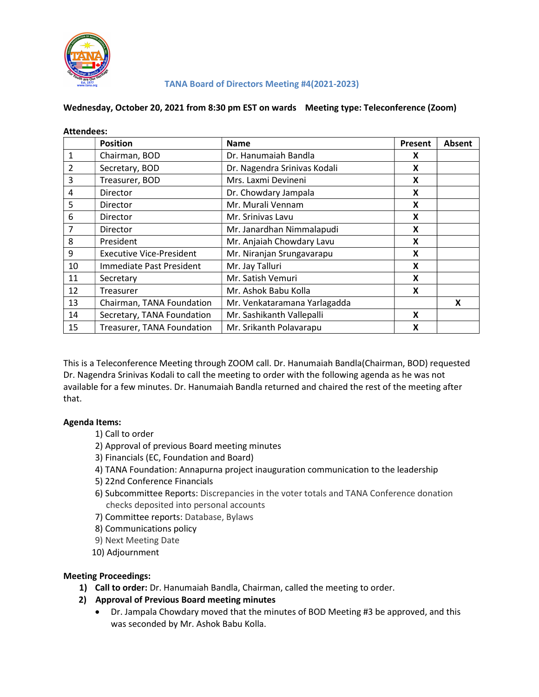

### TANA Board of Directors Meeting #4(2021-2023)

### Wednesday, October 20, 2021 from 8:30 pm EST on wards Meeting type: Teleconference (Zoom)

| <b>Attendees:</b> |                                 |                              |         |               |
|-------------------|---------------------------------|------------------------------|---------|---------------|
|                   | <b>Position</b>                 | <b>Name</b>                  | Present | <b>Absent</b> |
| 1                 | Chairman, BOD                   | Dr. Hanumaiah Bandla         | X       |               |
| 2                 | Secretary, BOD                  | Dr. Nagendra Srinivas Kodali | X       |               |
| 3                 | Treasurer, BOD                  | Mrs. Laxmi Devineni          | X       |               |
| 4                 | <b>Director</b>                 | Dr. Chowdary Jampala         | X       |               |
| 5                 | <b>Director</b>                 | Mr. Murali Vennam            | X       |               |
| 6                 | <b>Director</b>                 | Mr. Srinivas Lavu            | X       |               |
| 7                 | <b>Director</b>                 | Mr. Janardhan Nimmalapudi    | X       |               |
| 8                 | President                       | Mr. Anjaiah Chowdary Lavu    | X       |               |
| 9                 | <b>Executive Vice-President</b> | Mr. Niranjan Srungavarapu    | X       |               |
| 10                | Immediate Past President        | Mr. Jay Talluri              | X       |               |
| 11                | Secretary                       | Mr. Satish Vemuri            | X       |               |
| 12                | Treasurer                       | Mr. Ashok Babu Kolla         | X       |               |
| 13                | Chairman, TANA Foundation       | Mr. Venkataramana Yarlagadda |         | X             |
| 14                | Secretary, TANA Foundation      | Mr. Sashikanth Vallepalli    | X       |               |
| 15                | Treasurer, TANA Foundation      | Mr. Srikanth Polavarapu      | X       |               |

This is a Teleconference Meeting through ZOOM call. Dr. Hanumaiah Bandla(Chairman, BOD) requested Dr. Nagendra Srinivas Kodali to call the meeting to order with the following agenda as he was not available for a few minutes. Dr. Hanumaiah Bandla returned and chaired the rest of the meeting after that.

### Agenda Items:

- 1) Call to order
- 2) Approval of previous Board meeting minutes
- 3) Financials (EC, Foundation and Board)
- 4) TANA Foundation: Annapurna project inauguration communication to the leadership
- 5) 22nd Conference Financials
- 6) Subcommittee Reports: Discrepancies in the voter totals and TANA Conference donation checks deposited into personal accounts
- 7) Committee reports: Database, Bylaws
- 8) Communications policy
- 9) Next Meeting Date
- 10) Adjournment

### Meeting Proceedings:

- 1) Call to order: Dr. Hanumaiah Bandla, Chairman, called the meeting to order.
- 2) Approval of Previous Board meeting minutes
	- Dr. Jampala Chowdary moved that the minutes of BOD Meeting #3 be approved, and this was seconded by Mr. Ashok Babu Kolla.